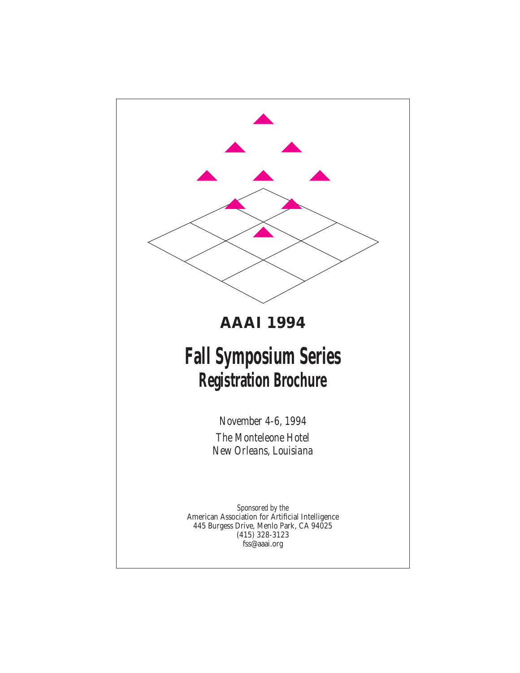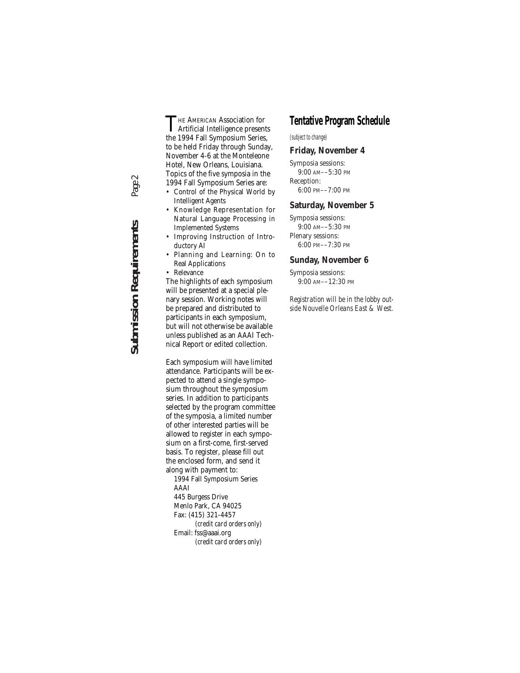THE AMERICAN Association for<br>Artificial Intelligence presents<br>the 1004 Fell Sympagium Series the 1994 Fall Symposium Series, to be held Friday through Sunday, November 4-6 at the Monteleone Hotel, New Orleans, Louisiana. Topics of the five symposia in the 1994 Fall Symposium Series are:

- Control of the Physical World by Intelligent Agents
- Knowledge Representation for Natural Language Processing in Implemented Systems
- Improving Instruction of Introductory AI
- Planning and Learning: On to Real Applications
- Relevance

The highlights of each symposium will be presented at a special plenary session. Working notes will be prepared and distributed to participants in each symposium, but will not otherwise be available unless published as an AAAI Technical Report or edited collection.

Each symposium will have limited attendance. Participants will be expected to attend a single symposium throughout the symposium series. In addition to participants selected by the program committee of the symposia, a limited number of other interested parties will be allowed to register in each symposium on a first-come, first-served basis. To register, please fill out the enclosed form, and send it along with payment to:

1994 Fall Symposium Series AAAI 445 Burgess Drive Menlo Park, CA 94025 Fax: (415) 321-4457 *(credit card orders only)* Email: fss@aaai.org

*(credit card orders only)*

### **Tentative Program Schedule**

*(subject to change)*

### **Friday, November 4**

Symposia sessions: 9:00 AM––5:30 PM Reception: 6:00 PM––7:00 PM

### **Saturday, November 5**

Symposia sessions: 9:00 AM––5:30 PM Plenary sessions: 6:00 PM––7:30 PM

### **Sunday, November 6**

Symposia sessions: 9:00 AM––12:30 PM

*Registration will be in the lobby outside Nouvelle Orleans East & West.*

Page 2 **Submission Requirements** *Page 2***Submission Requirements**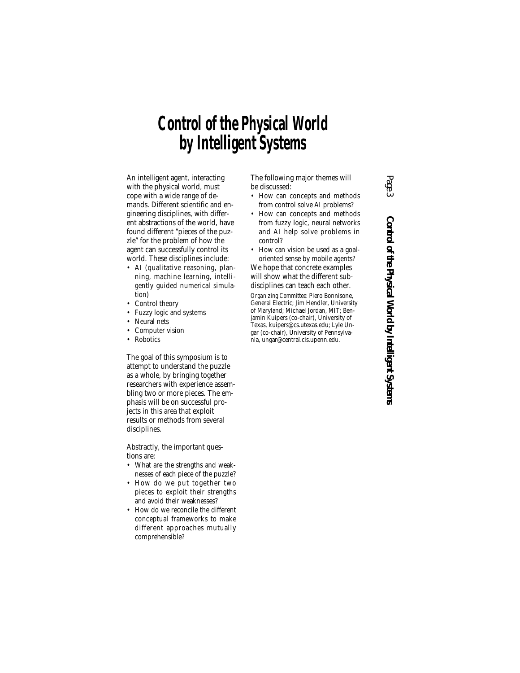# **Control of the Physical World by Intelligent Systems**

An intelligent agent, interacting with the physical world, must cope with a wide range of demands. Different scientific and engineering disciplines, with different abstractions of the world, have found different "pieces of the puzzle" for the problem of how the agent can successfully control its world. These disciplines include:

- AI (qualitative reasoning, planning, machine learning, intelligently guided numerical simulation)
- Control theory
- Fuzzy logic and systems
- Neural nets
- Computer vision
- Robotics

The goal of this symposium is to attempt to understand the puzzle as a whole, by bringing together researchers with experience assembling two or more pieces. The emphasis will be on successful projects in this area that exploit results or methods from several disciplines.

Abstractly, the important questions are:

- What are the strengths and weaknesses of each piece of the puzzle?
- How do we put together two pieces to exploit their strengths and avoid their weaknesses?
- How do we reconcile the different conceptual frameworks to make different approaches mutually comprehensible?

The following major themes will be discussed:

- How can concepts and methods from control solve AI problems?
- How can concepts and methods from fuzzy logic, neural networks and AI help solve problems in control?
- How can vision be used as a goaloriented sense by mobile agents?

We hope that concrete examples will show what the different subdisciplines can teach each other.

*Organizing Committee:* Piero Bonnisone, General Electric; Jim Hendler, University of Maryland; Michael Jordan, MIT; Benjamin Kuipers (co-chair), University of Texas, kuipers@cs.utexas.edu; Lyle Ungar (co-chair), University of Pennsylvania, ungar@central.cis.upenn.edu.

*Page 3* Control of the Physical World by Intelligent Systems **Control of the Physical World by Intelligent Systems**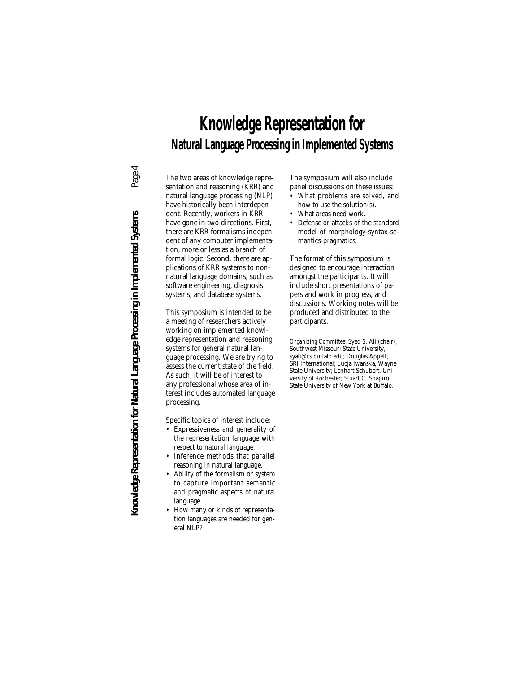# Page 4 **Knowledge Representation for Natural Language Processing in Implemented Systems** *Page 4* Knowledge Representation for Natural Language Processing in Implemented Systems

# **Knowledge Representation for Natural Language Processing in Implemented Systems**

The two areas of knowledge representation and reasoning (KRR) and natural language processing (NLP) have historically been interdependent. Recently, workers in KRR have gone in two directions. First, there are KRR formalisms independent of any computer implementation, more or less as a branch of formal logic. Second, there are applications of KRR systems to nonnatural language domains, such as software engineering, diagnosis systems, and database systems.

This symposium is intended to be a meeting of researchers actively working on implemented knowledge representation and reasoning systems for general natural language processing. We are trying to assess the current state of the field. As such, it will be of interest to any professional whose area of interest includes automated language processing.

Specific topics of interest include:

- Expressiveness and generality of the representation language with respect to natural language.
- Inference methods that parallel reasoning in natural language.
- Ability of the formalism or system to capture important semantic and pragmatic aspects of natural language.
- How many or kinds of representation languages are needed for general NLP?

The symposium will also include panel discussions on these issues:

- What problems are solved, and how to use the solution(s).
- What areas need work.
- Defense or attacks of the standard model of morphology-syntax-semantics-pragmatics.

The format of this symposium is designed to encourage interaction amongst the participants. It will include short presentations of papers and work in progress, and discussions. Working notes will be produced and distributed to the participants.

*Organizing Committee:* Syed S. Ali (chair), Southwest Missouri State University, syali@cs.buffalo.edu; Douglas Appelt, SRI International; Lucja Iwanska, Wayne State University; Lenhart Schubert, University of Rochester; Stuart C. Shapiro, State University of New York at Buffalo.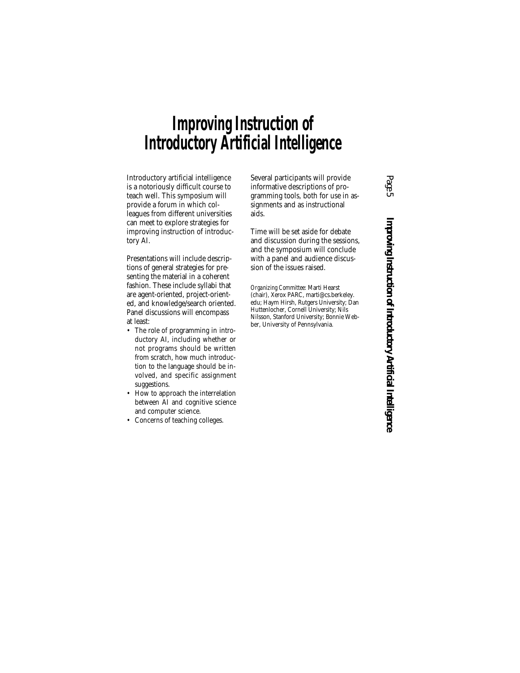# **Improving Instruction of Introductory Artificial Intelligence**

Introductory artificial intelligence is a notoriously difficult course to teach well. This symposium will provide a forum in which colleagues from different universities can meet to explore strategies for improving instruction of introductory AI.

Presentations will include descriptions of general strategies for presenting the material in a coherent fashion. These include syllabi that are agent-oriented, project-oriented, and knowledge/search oriented. Panel discussions will encompass at least:

- The role of programming in introductory AI, including whether or not programs should be written from scratch, how much introduction to the language should be involved, and specific assignment suggestions.
- How to approach the interrelation between AI and cognitive science and computer science.
- Concerns of teaching colleges.

Several participants will provide informative descriptions of programming tools, both for use in assignments and as instructional aids.

Time will be set aside for debate and discussion during the sessions, and the symposium will conclude with a panel and audience discussion of the issues raised.

*Organizing Committee:* Marti Hearst (chair), Xerox PARC, marti@cs.berkeley. edu; Haym Hirsh, Rutgers University; Dan Huttenlocher, Cornell University; Nils Nilsson, Stanford University; Bonnie Webber, University of Pennsylvania.

*Page 5* Improving Instruction of Introductory Artificial Intelligence **Improving Instruction of Introductory Artificial Intelligence**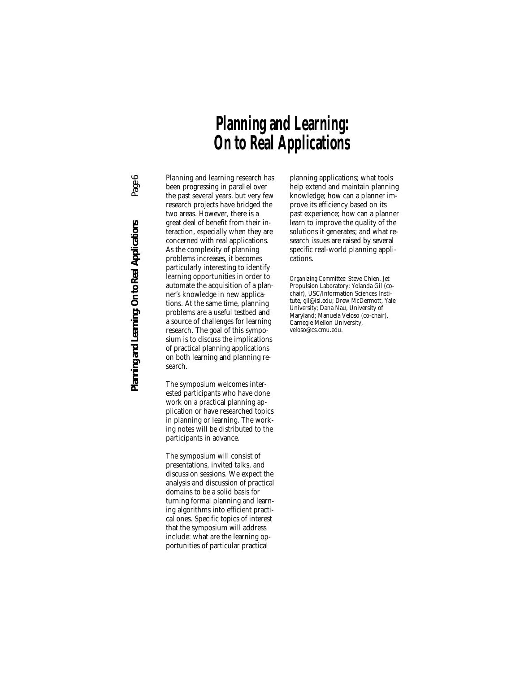# **Planning and Learning: On to Real Applications**

Page 6 **Planning and Learning: On to Real Applications** *Page 6* Planning and Learning: On to Real Applications

Planning and learning research has been progressing in parallel over the past several years, but very few research projects have bridged the two areas. However, there is a great deal of benefit from their interaction, especially when they are concerned with real applications. As the complexity of planning problems increases, it becomes particularly interesting to identify learning opportunities in order to automate the acquisition of a planner's knowledge in new applications. At the same time, planning problems are a useful testbed and a source of challenges for learning research. The goal of this symposium is to discuss the implications of practical planning applications on both learning and planning research.

The symposium welcomes interested participants who have done work on a practical planning application or have researched topics in planning or learning. The working notes will be distributed to the participants in advance.

The symposium will consist of presentations, invited talks, and discussion sessions. We expect the analysis and discussion of practical domains to be a solid basis for turning formal planning and learning algorithms into efficient practical ones. Specific topics of interest that the symposium will address include: what are the learning opportunities of particular practical

planning applications; what tools help extend and maintain planning knowledge; how can a planner improve its efficiency based on its past experience; how can a planner learn to improve the quality of the solutions it generates; and what research issues are raised by several specific real-world planning applications.

*Organizing Committee:* Steve Chien, Jet Propulsion Laboratory; Yolanda Gil (cochair), USC/Information Sciences Institute, gil@isi.edu; Drew McDermott, Yale University; Dana Nau, University of Maryland; Manuela Veloso (co-chair), Carnegie Mellon University, veloso@cs.cmu.edu.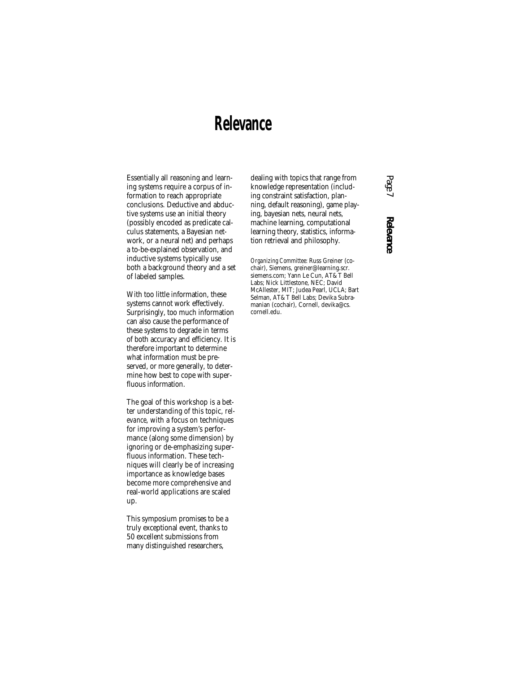# **Relevance**

Essentially all reasoning and learning systems require a corpus of information to reach appropriate conclusions. Deductive and abductive systems use an initial theory (possibly encoded as predicate calculus statements, a Bayesian network, or a neural net) and perhaps a to-be-explained observation, and inductive systems typically use both a background theory and a set of labeled samples.

With too little information, these systems cannot work effectively. Surprisingly, too much information can also cause the performance of these systems to degrade in terms of both accuracy and efficiency. It is therefore important to determine what information must be preserved, or more generally, to determine how best to cope with superfluous information.

The goal of this workshop is a better understanding of this topic, *relevance*, with a focus on techniques for improving a system's performance (along some dimension) by ignoring or de-emphasizing superfluous information. These techniques will clearly be of increasing importance as knowledge bases become more comprehensive and real-world applications are scaled up.

This symposium promises to be a truly exceptional event, thanks to 50 excellent submissions from many distinguished researchers,

dealing with topics that range from knowledge representation (including constraint satisfaction, planning, default reasoning), game playing, bayesian nets, neural nets, machine learning, computational learning theory, statistics, information retrieval and philosophy.

*Organizing Committee:* Russ Greiner (cochair), Siemens, greiner@learning.scr. siemens.com; Yann Le Cun, AT&T Bell Labs; Nick Littlestone, NEC; David McAllester, MIT; Judea Pearl, UCLA; Bart Selman, AT&T Bell Labs; Devika Subramanian (cochair), Cornell, devika@cs. cornell.edu.

# *Page 7* **Relevance**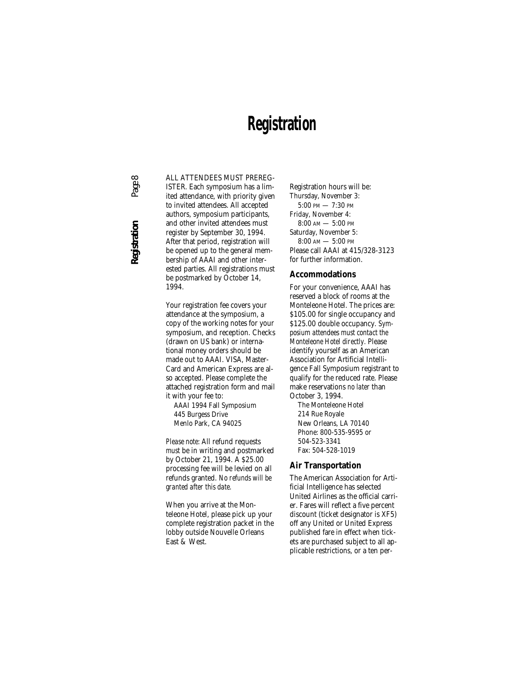### **Registration**

ALL ATTENDEES MUST PREREG-

ISTER. Each symposium has a limited attendance, with priority given to invited attendees. All accepted authors, symposium participants, and other invited attendees must register by September 30, 1994. After that period, registration will be opened up to the general membership of AAAI and other interested parties. All registrations must be postmarked by October 14, 1994.

Your registration fee covers your attendance at the symposium, a copy of the working notes for your symposium, and reception. Checks (drawn on US bank) or international money orders should be made out to AAAI. VISA, Master-Card and American Express are also accepted. Please complete the attached registration form and mail it with your fee to:

AAAI 1994 Fall Symposium 445 Burgess Drive Menlo Park, CA 94025

*Please note:* All refund requests *must* be in writing and postmarked by October 21, 1994. A \$25.00 processing fee will be levied on all refunds granted. *No refunds will be granted after this date.*

When you arrive at the Monteleone Hotel, please pick up your complete registration packet in the lobby outside Nouvelle Orleans East & West.

Registration hours will be: Thursday, November 3: 5:00 PM — 7:30 PM Friday, November 4: 8:00 AM — 5:00 PM Saturday, November 5: 8:00 AM — 5:00 PM Please call AAAI at 415/328-3123 for further information.

### **Accommodations**

For your convenience, AAAI has reserved a block of rooms at the Monteleone Hotel. The prices are: \$105.00 for single occupancy and \$125.00 double occupancy. *Symposium attendees must contact the Monteleone Hotel directly.* Please identify yourself as an American Association for Artificial Intelligence Fall Symposium registrant to qualify for the reduced rate. Please make reservations *no later* than October 3, 1994.

The Monteleone Hotel 214 Rue Royale New Orleans, LA 70140 Phone: 800-535-9595 or 504-523-3341 Fax: 504-528-1019

#### **Air Transportation**

The American Association for Artificial Intelligence has selected United Airlines as the official carrier. Fares will reflect a five percent discount (ticket designator is XF5) off any United or United Express published fare in effect when tickets are purchased subject to all applicable restrictions, or a ten per-

**Registration** *Page 8* Page 8 Registration

 $\infty$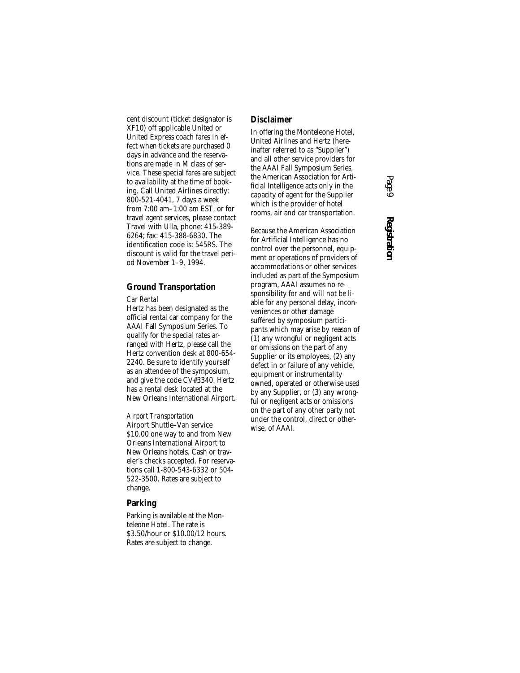cent discount (ticket designator is XF10) off applicable United or United Express coach fares in effect when tickets are purchased 0 days in advance and the reservations are made in M class of service. These special fares are subject to availability at the time of booking. Call United Airlines directly: 800-521-4041, 7 days a week from 7:00 am–1:00 am EST, or for travel agent services, please contact Travel with Ulla, phone: 415-389- 6264; fax: 415-388-6830. The identification code is: 545RS. The discount is valid for the travel period November 1–9, 1994.

### **Ground Transportation**

#### *Car Rental*

Hertz has been designated as the official rental car company for the AAAI Fall Symposium Series. To qualify for the special rates arranged with Hertz, please call the Hertz convention desk at 800-654- 2240. Be sure to identify yourself as an attendee of the symposium, and give the code CV#3340. Hertz has a rental desk located at the New Orleans International Airport.

*Airport Transportation* Airport Shuttle–Van service \$10.00 one way to and from New Orleans International Airport to New Orleans hotels. Cash or traveler's checks accepted. For reservations call 1-800-543-6332 or 504- 522-3500. Rates are subject to change.

### **Parking**

Parking is available at the Monteleone Hotel. The rate is \$3.50/hour or \$10.00/12 hours. Rates are subject to change.

### **Disclaimer**

In offering the Monteleone Hotel, United Airlines and Hertz (hereinafter referred to as "Supplier") and all other service providers for the AAAI Fall Symposium Series, the American Association for Artificial Intelligence acts only in the capacity of agent for the Supplier which is the provider of hotel rooms, air and car transportation.

Because the American Association for Artificial Intelligence has no control over the personnel, equipment or operations of providers of accommodations or other services included as part of the Symposium program, AAAI assumes no responsibility for and will not be liable for any personal delay, inconveniences or other damage suffered by symposium participants which may arise by reason of (1) any wrongful or negligent acts or omissions on the part of any Supplier or its employees, (2) any defect in or failure of any vehicle, equipment or instrumentality owned, operated or otherwise used by any Supplier, or (3) any wrongful or negligent acts or omissions on the part of any other party not under the control, direct or otherwise, of AAAI.

# *Page 9* **Registration**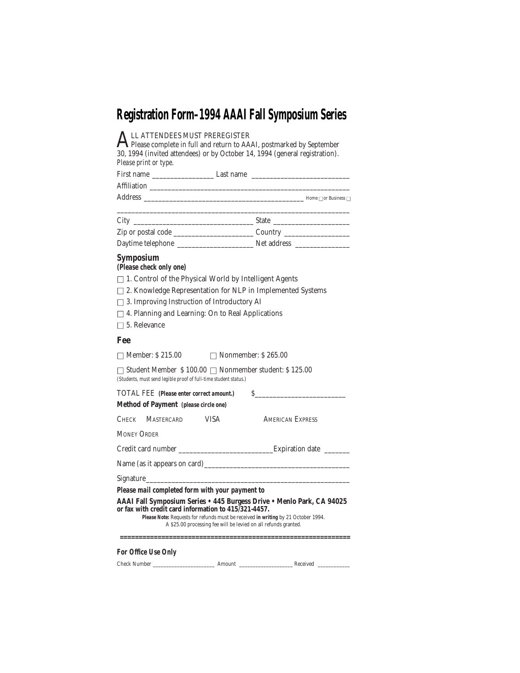# **Registration Form–1994 AAAI Fall Symposium Series**

| LL ATTENDEES MUST PREREGISTER<br>$\bigcap$ Please complete in full and return to AAAI, postmarked by September<br>30, 1994 (invited attendees) or by October 14, 1994 (general registration).<br>Please print or type.<br>First name __________________________Last name _________________________________                               |                         |  |  |
|------------------------------------------------------------------------------------------------------------------------------------------------------------------------------------------------------------------------------------------------------------------------------------------------------------------------------------------|-------------------------|--|--|
|                                                                                                                                                                                                                                                                                                                                          |                         |  |  |
|                                                                                                                                                                                                                                                                                                                                          |                         |  |  |
|                                                                                                                                                                                                                                                                                                                                          |                         |  |  |
|                                                                                                                                                                                                                                                                                                                                          |                         |  |  |
|                                                                                                                                                                                                                                                                                                                                          |                         |  |  |
| <b>Symposium</b><br>(Please check only one)                                                                                                                                                                                                                                                                                              |                         |  |  |
| $\Box$ 1. Control of the Physical World by Intelligent Agents                                                                                                                                                                                                                                                                            |                         |  |  |
| $\Box$ 2. Knowledge Representation for NLP in Implemented Systems                                                                                                                                                                                                                                                                        |                         |  |  |
| $\Box$ 3. Improving Instruction of Introductory AI                                                                                                                                                                                                                                                                                       |                         |  |  |
| $\Box$ 4. Planning and Learning: On to Real Applications                                                                                                                                                                                                                                                                                 |                         |  |  |
| $\Box$ 5. Relevance                                                                                                                                                                                                                                                                                                                      |                         |  |  |
| Fee                                                                                                                                                                                                                                                                                                                                      |                         |  |  |
| $\Box$ Member: \$ 215.00<br>$\Box$ Nonmember: \$265.00                                                                                                                                                                                                                                                                                   |                         |  |  |
| $\Box$ Student Member \$100.00 $\Box$ Nonmember student: \$125.00<br>(Students, must send legible proof of full-time student status.)                                                                                                                                                                                                    |                         |  |  |
| TOTAL FEE (Please enter correct amount.)                                                                                                                                                                                                                                                                                                 | $\mathcal{S}$           |  |  |
| Method of Payment (please circle one)                                                                                                                                                                                                                                                                                                    |                         |  |  |
| CHECK MASTERCARD VISA                                                                                                                                                                                                                                                                                                                    | <b>AMERICAN EXPRESS</b> |  |  |
| <b>MONEY ORDER</b>                                                                                                                                                                                                                                                                                                                       |                         |  |  |
| Credit card number ___________________________________Expiration date __________                                                                                                                                                                                                                                                         |                         |  |  |
|                                                                                                                                                                                                                                                                                                                                          |                         |  |  |
|                                                                                                                                                                                                                                                                                                                                          |                         |  |  |
| Please mail completed form with your payment to<br>AAAI Fall Symposium Series . 445 Burgess Drive . Menlo Park, CA 94025<br>or fax with credit card information to 415/321-4457.<br>Please Note: Requests for refunds must be received in writing by 21 October 1994.<br>A \$25.00 processing fee will be levied on all refunds granted. |                         |  |  |
|                                                                                                                                                                                                                                                                                                                                          |                         |  |  |
| For Office Use Only                                                                                                                                                                                                                                                                                                                      |                         |  |  |
|                                                                                                                                                                                                                                                                                                                                          |                         |  |  |